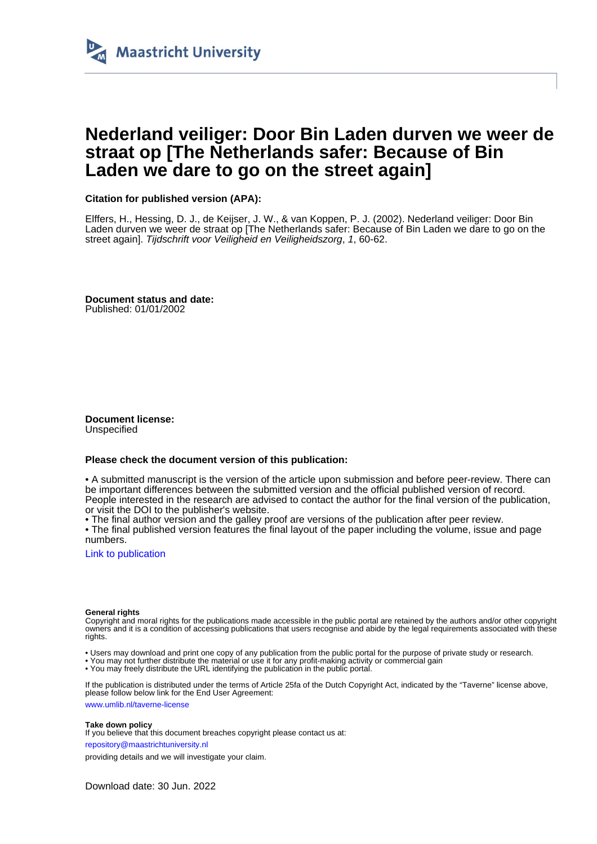

# **Nederland veiliger: Door Bin Laden durven we weer de straat op [The Netherlands safer: Because of Bin Laden we dare to go on the street again]**

## **Citation for published version (APA):**

Elffers, H., Hessing, D. J., de Keijser, J. W., & van Koppen, P. J. (2002). Nederland veiliger: Door Bin Laden durven we weer de straat op [The Netherlands safer: Because of Bin Laden we dare to go on the street again]. Tijdschrift voor Veiligheid en Veiligheidszorg, 1, 60-62.

**Document status and date:** Published: 01/01/2002

**Document license:** Unspecified

### **Please check the document version of this publication:**

• A submitted manuscript is the version of the article upon submission and before peer-review. There can be important differences between the submitted version and the official published version of record. People interested in the research are advised to contact the author for the final version of the publication, or visit the DOI to the publisher's website.

• The final author version and the galley proof are versions of the publication after peer review.

• The final published version features the final layout of the paper including the volume, issue and page numbers.

[Link to publication](https://cris.maastrichtuniversity.nl/en/publications/d7d7ce2e-dd15-4dde-b4f2-e890f1e20b60)

#### **General rights**

Copyright and moral rights for the publications made accessible in the public portal are retained by the authors and/or other copyright owners and it is a condition of accessing publications that users recognise and abide by the legal requirements associated with these rights.

- Users may download and print one copy of any publication from the public portal for the purpose of private study or research.
- You may not further distribute the material or use it for any profit-making activity or commercial gain
- You may freely distribute the URL identifying the publication in the public portal

If the publication is distributed under the terms of Article 25fa of the Dutch Copyright Act, indicated by the "Taverne" license above, please follow below link for the End User Agreement:

www.umlib.nl/taverne-license

#### **Take down policy**

If you believe that this document breaches copyright please contact us at:

repository@maastrichtuniversity.nl

providing details and we will investigate your claim.

Download date: 30 Jun. 2022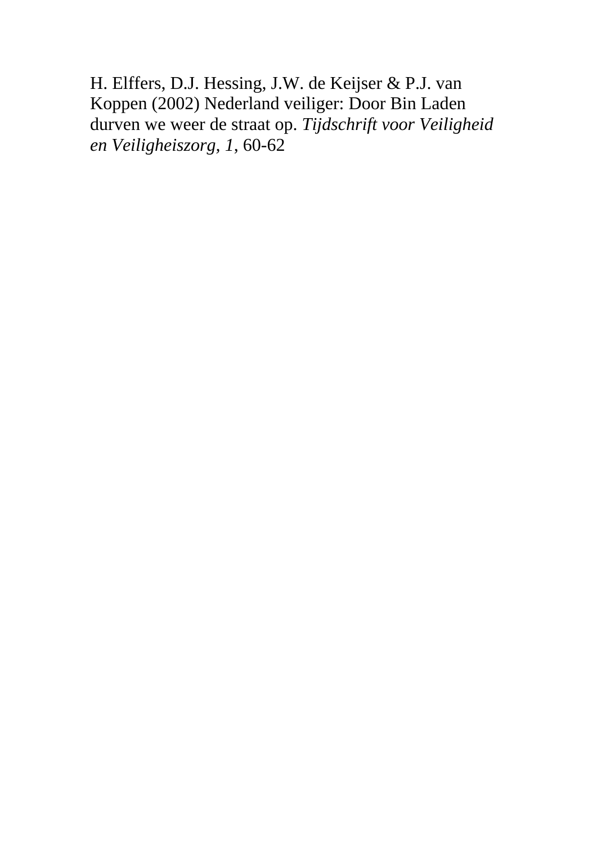H. Elffers, D.J. Hessing, J.W. de Keijser & P.J. van Koppen (2002) Nederland veiliger: Door Bin Laden durven we weer de straat op. *Tijdschrift voor Veiligheid en Veiligheiszorg, 1*, 60-62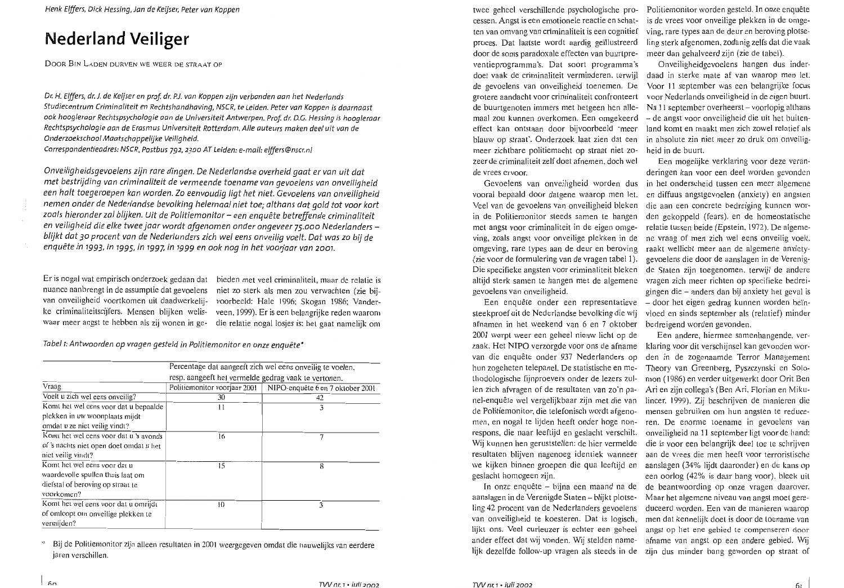Henk Elffers, Dick Hessing, Jan de Keijser, Peter van Koppen

# **Nederland Veiliger**

DOOR BIN LADEN DURVEN WE WEER DE STRAAT OP

Dr. H. Elffers, dr. J. de Keijser en prof. dr. P.J. van Koppen zijn verbonden aan het Nederlands Studiecentrum Criminaliteit en Rechtshandhaving, NSCR, te Leiden. Peter van Koppen is daarnaast ook hoogleraar Rechtspsychologie aan de Universiteit Antwerpen. Prof. dr. D.G. Hessing is hoogleraar Rechtspsychologie aan de Erasmus Universiteit Rotterdam. Alle auteurs maken deel uit van de Onderzoekschool Maatschappelijke Veiliaheid.

Correspondentieadres: NSCR, Postbus 792, 2300 AT Leiden: e-mail: elffers@nscr.nl

Onveiligheidsgevoelens zijn rare dingen. De Nederlandse overheid gaat er van uit dat met bestrijding van criminaliteit de vermeende toename van gevoelens van onveiligheid een halt toegeroepen kan worden. Zo eenvoudig ligt het niet. Gevoelens van onveiligheid nemen onder de Nederlandse bevolking helemaal niet toe; althans dat aold tot voor kort zoals hieronder zal blijken. Uit de Politiemonitor - een enquête betreffende criminaliteit en veiligheid die elke twee jaar wordt afgenomen onder ongeveer 75.000 Nederlanders blijkt dat 30 procent van de Nederlanders zich wel eens onveilig voelt. Dat was zo bij de enquête in 1993, in 1995, in 1997, in 1999 en ook nog in het voorjaar van 2001.

Er is nogal wat empirisch onderzoek gedaan dat bieden met veel criminaliteit, maar de relatie is nuance aanbrengt in de assumptie dat gevoelens

niet zo sterk als men zou verwachten (zie bijvan onveiligheid voortkomen uit daadwerkelij- voorbeeld: Hale 1996; Skogan 1986; Vanderke criminaliteitscijfers. Mensen blijken welis- veen, 1999). Er is een belangrijke reden waarom waar meer angst te hebben als zij wonen in ge- die relatie nogal losjes is; het gaat namelijk om

Tabel 1: Antwoorden op vragen gesteld in Politiemonitor en onze enquête\*

|                                         | Percentage dat aangeeft zich wel eens onveilig te voelen.<br>resp. aangeeft het vermelde gedrag vaak te vertonen. |                                  |
|-----------------------------------------|-------------------------------------------------------------------------------------------------------------------|----------------------------------|
|                                         |                                                                                                                   |                                  |
| Vraag                                   | Politiemonitor voorjaar 2001                                                                                      | NIPO-enquête 6 en 7 oktober 2001 |
| Voelt u zich wel eens onveilig?         | 30                                                                                                                | 42                               |
| Komt het wel eens voor dat u bepaalde   | 11                                                                                                                | 3                                |
| plekken in uw woonplaats mijdt          |                                                                                                                   |                                  |
| omdat u ze niet veilig vindt?           |                                                                                                                   |                                  |
| Komt het wel eens voor dat u 's avonds  | 16                                                                                                                | 7                                |
| of 's nachts niet open doet omdat u het |                                                                                                                   |                                  |
| nict veilig vindt?                      |                                                                                                                   |                                  |
| Komt het wel eens voor dat u            | 15                                                                                                                | 8                                |
| waardevolle spullen thuis laat om       |                                                                                                                   |                                  |
| diefstal of beroving op straat te       |                                                                                                                   |                                  |
| voorkomen?                              |                                                                                                                   |                                  |
| Komt het wel eens voor dat u omrijdt    | 10                                                                                                                | 3                                |
| of omloopt om onveilige plekken te      |                                                                                                                   |                                  |
| vermijden?                              |                                                                                                                   |                                  |

Bij de Politiemonitor zijn alleen resultaten in 2001 weergegeven omdat die nauwelijks van eerdere jaren verschillen.

twee geheel verschillende psychologische pro- Politiemonitor worden gesteld. In onze enquête cessen. Angst is een emotionele reactie en schatten van omvang van criminaliteit is een cognitief proces. Dat laatste wordt aardig geïllustreerd ling sterk afgenomen, zodanig zelfs dat die vaak door de soms paradoxale effecten van buurtpreventieprogramma's. Dat soort programma's doet vaak de criminaliteit verminderen, terwijl daad in sterke mate af van waarop men let. de gevoelens van onveiligheid toenemen. De grotere aandacht voor criminaliteit confronteert de buurtgenoten immers met hetgeen hen alle-<br>Na 11 september overheerst – voorlopig althans maal zou kunnen overkomen. Een omgekeerd – de angst voor onveiligheid die uit het buiteneffect kan ontstaan door bijvoorbeeld 'meer land komt en maakt men zich zowel relatief als blauw op straat'. Onderzoek laat zien dat een in absolute zin niet meer zo druk om onveiligmeer zichtbare politiemacht op straat niet zozeer de criminaliteit zelf doet afnemen, doch wel de vrees ervoor.

vooral bepaald door datgene waarop men let. Veel van de gevoelens van onveiligheid bleken die aan een concrete bedreiging kunnen worin de Politiemonitor steeds samen te hangen den gekoppeld (fears), en de homeostatische met angst voor criminaliteit in de eigen omge- relatie tussen beide (Epstein, 1972). De algemeving, zoals angst voor onveilige plekken in de omgeving, rare types aan de deur en beroving (zie voor de formulering van de vragen tabel 1). Die specifieke angsten voor criminaliteit bleken altijd sterk samen te hangen met de algemene vragen zich meer richten op specifieke bedreigevoelens van onveiligheid.

steekproef uit de Nederlandse bevolking die wij vloed en sinds september als (relatief) minder afnamen in het weekend van 6 en 7 oktober bedreigend worden gevonden. 2001 werpt weer een geheel nieuw licht op de zaak. Het NIPO verzorgde voor ons de afname klaring voor dit verschijnsel kan gevonden worvan die enquête onder 937 Nederlanders op hun zogeheten telepanel. De statistische en me- Theory van Greenberg, Pyszczynski en Solothodologische fijnproevers onder de lezers zullen zich afvragen of de resultaten van zo'n panel-enquête wel vergelijkbaar zijn met die van de Politiemonitor, die telefonisch wordt afgenomen, en nogal te lijden heeft onder hoge nonrespons, die naar leeftijd en geslacht verschilt. onveiligheid na 11 september ligt voor de hand: Wij kunnen hen geruststellen: de hier vermelde die is voor een belangrijk deel toe te schrijven resultaten blijven nagenoeg identiek wanneer aan de vrees die men heeft voor terroristische we kijken binnen groepen die qua leeftijd en aanslagen (34% lijdt daaronder) en de kans op geslacht homogeen zijn.

aanslagen in de Verenigde Staten – blijkt plotse-Maar het algemene niveau van angst moet gereling 42 procent van de Nederlanders gevoelens duceerd worden. Een van de manieren waarop van onveiligheid te koesteren. Dat is logisch, men dat kennelijk doet is door de toename van lijkt ons. Veel curieuzer is echter een geheel angst op het ene gebied te compenseren door ander effect dat wij vonden. Wij stelden name- afname van angst op een andere gebied. Wij lijk dezelfde follow-up vragen als steeds in de zijn dus minder bang geworden op straat of

is de vrees voor onveilige plekken in de omgeving, rare types aan de deur en beroving plotsemeer dan gehalveerd zijn (zie de tabel).

Onveiligheidgevoelens hangen dus inder-Voor 11 september was een belangrijke focus voor Nederlands onveiligheid in de eigen buurt. heid in de buurt.

Een mogelijke verklaring voor deze veranderingen kan voor een deel worden gevonden Gevoelens van onveiligheid worden dus in het onderscheid tussen een meer algemene en diffuus angstgevoelen (anxiety) en angsten ne vraag of men zich wel eens onveilig voelt. raakt wellicht meer aan de algemene anxietygevoelens die door de aanslagen in de Verenigde Staten zijn toegenomen, terwijl de andere gingen die – anders dan bij anxiety het geval is Een enquête onder een representatieve - door het eigen gedrag kunnen worden beïn-

Een andere, hiermee samenhangende, verden in de zogenaamde Terror Management mon (1986) en verder uitgewerkt door Orit Ben Ari en zijn collega's (Ben Ari, Florian en Mikulincer, 1999). Zij beschrijven de manieren die mensen gebruiken om hun angsten te reduceren. De enorme toename in gevoelens van een oorlog (42% is daar bang voor), bleek uit In onze enquête – bijna een maand na de de beantwoording op onze vragen daarover.